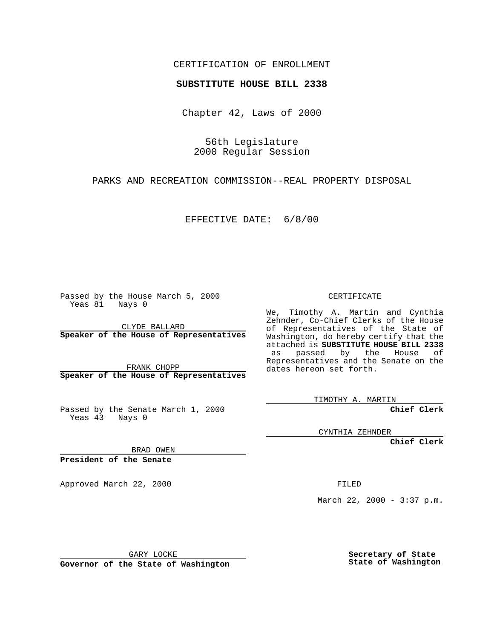## CERTIFICATION OF ENROLLMENT

## **SUBSTITUTE HOUSE BILL 2338**

Chapter 42, Laws of 2000

56th Legislature 2000 Regular Session

PARKS AND RECREATION COMMISSION--REAL PROPERTY DISPOSAL

EFFECTIVE DATE: 6/8/00

Passed by the House March 5, 2000 Yeas 81 Nays 0

CLYDE BALLARD **Speaker of the House of Representatives**

FRANK CHOPP **Speaker of the House of Representatives**

Passed by the Senate March 1, 2000 Yeas 43 Nays 0

CERTIFICATE

We, Timothy A. Martin and Cynthia Zehnder, Co-Chief Clerks of the House of Representatives of the State of Washington, do hereby certify that the attached is **SUBSTITUTE HOUSE BILL 2338** as passed by the House of Representatives and the Senate on the dates hereon set forth.

TIMOTHY A. MARTIN

**Chief Clerk**

CYNTHIA ZEHNDER

**Chief Clerk**

BRAD OWEN

**President of the Senate**

Approved March 22, 2000 FILED

March 22, 2000 - 3:37 p.m.

GARY LOCKE

**Governor of the State of Washington**

**Secretary of State State of Washington**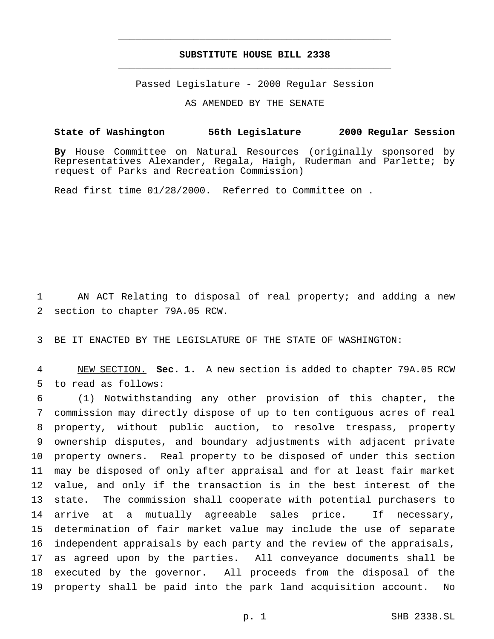## **SUBSTITUTE HOUSE BILL 2338** \_\_\_\_\_\_\_\_\_\_\_\_\_\_\_\_\_\_\_\_\_\_\_\_\_\_\_\_\_\_\_\_\_\_\_\_\_\_\_\_\_\_\_\_\_\_\_

\_\_\_\_\_\_\_\_\_\_\_\_\_\_\_\_\_\_\_\_\_\_\_\_\_\_\_\_\_\_\_\_\_\_\_\_\_\_\_\_\_\_\_\_\_\_\_

Passed Legislature - 2000 Regular Session

AS AMENDED BY THE SENATE

## **State of Washington 56th Legislature 2000 Regular Session**

**By** House Committee on Natural Resources (originally sponsored by Representatives Alexander, Regala, Haigh, Ruderman and Parlette; by request of Parks and Recreation Commission)

Read first time 01/28/2000. Referred to Committee on .

 AN ACT Relating to disposal of real property; and adding a new section to chapter 79A.05 RCW.

BE IT ENACTED BY THE LEGISLATURE OF THE STATE OF WASHINGTON:

 NEW SECTION. **Sec. 1.** A new section is added to chapter 79A.05 RCW to read as follows:

 (1) Notwithstanding any other provision of this chapter, the commission may directly dispose of up to ten contiguous acres of real property, without public auction, to resolve trespass, property ownership disputes, and boundary adjustments with adjacent private property owners. Real property to be disposed of under this section may be disposed of only after appraisal and for at least fair market value, and only if the transaction is in the best interest of the state. The commission shall cooperate with potential purchasers to arrive at a mutually agreeable sales price. If necessary, determination of fair market value may include the use of separate independent appraisals by each party and the review of the appraisals, as agreed upon by the parties. All conveyance documents shall be executed by the governor. All proceeds from the disposal of the property shall be paid into the park land acquisition account. No